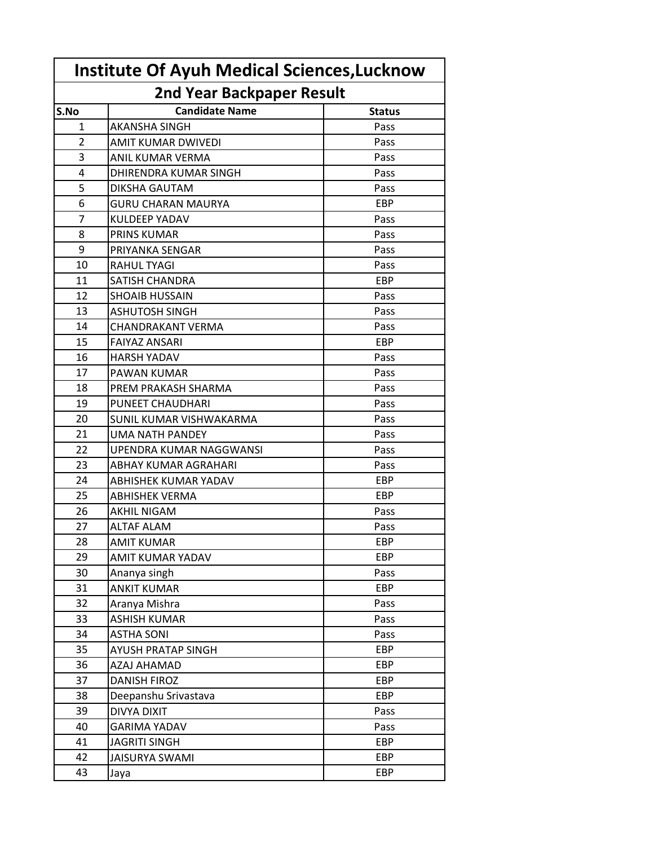| <b>Institute Of Ayuh Medical Sciences, Lucknow</b> |                           |               |  |
|----------------------------------------------------|---------------------------|---------------|--|
| <b>2nd Year Backpaper Result</b>                   |                           |               |  |
| S.No                                               | <b>Candidate Name</b>     | <b>Status</b> |  |
| 1                                                  | <b>AKANSHA SINGH</b>      | Pass          |  |
| $\overline{2}$                                     | AMIT KUMAR DWIVEDI        | Pass          |  |
| 3                                                  | ANIL KUMAR VERMA          | Pass          |  |
| 4                                                  | DHIRENDRA KUMAR SINGH     | Pass          |  |
| 5                                                  | DIKSHA GAUTAM             | Pass          |  |
| 6                                                  | <b>GURU CHARAN MAURYA</b> | EBP           |  |
| 7                                                  | <b>KULDEEP YADAV</b>      | Pass          |  |
| 8                                                  | <b>PRINS KUMAR</b>        | Pass          |  |
| 9                                                  | PRIYANKA SENGAR           | Pass          |  |
| 10                                                 | <b>RAHUL TYAGI</b>        | Pass          |  |
| 11                                                 | SATISH CHANDRA            | EBP           |  |
| 12                                                 | <b>SHOAIB HUSSAIN</b>     | Pass          |  |
| 13                                                 | <b>ASHUTOSH SINGH</b>     | Pass          |  |
| 14                                                 | <b>CHANDRAKANT VERMA</b>  | Pass          |  |
| 15                                                 | <b>FAIYAZ ANSARI</b>      | EBP           |  |
| 16                                                 | <b>HARSH YADAV</b>        | Pass          |  |
| 17                                                 | PAWAN KUMAR               | Pass          |  |
| 18                                                 | PREM PRAKASH SHARMA       | Pass          |  |
| 19                                                 | PUNEET CHAUDHARI          | Pass          |  |
| 20                                                 | SUNIL KUMAR VISHWAKARMA   | Pass          |  |
| 21                                                 | UMA NATH PANDEY           | Pass          |  |
| 22                                                 | UPENDRA KUMAR NAGGWANSI   | Pass          |  |
| 23                                                 | ABHAY KUMAR AGRAHARI      | Pass          |  |
| 24                                                 | ABHISHEK KUMAR YADAV      | EBP           |  |
| 25                                                 | <b>ABHISHEK VERMA</b>     | EBP           |  |
| 26                                                 | <b>AKHIL NIGAM</b>        | Pass          |  |
| 27                                                 | ALTAF ALAM                | Pass          |  |
| 28                                                 | <b>AMIT KUMAR</b>         | EBP           |  |
| 29                                                 | AMIT KUMAR YADAV          | EBP           |  |
| 30                                                 | Ananya singh              | Pass          |  |
| 31                                                 | <b>ANKIT KUMAR</b>        | <b>EBP</b>    |  |
| 32                                                 | Aranya Mishra             | Pass          |  |
| 33                                                 | <b>ASHISH KUMAR</b>       | Pass          |  |
| 34                                                 | <b>ASTHA SONI</b>         | Pass          |  |
| 35                                                 | AYUSH PRATAP SINGH        | EBP           |  |
| 36                                                 | AZAJ AHAMAD               | <b>EBP</b>    |  |
| 37                                                 | <b>DANISH FIROZ</b>       | EBP           |  |
| 38                                                 | Deepanshu Srivastava      | EBP           |  |
| 39                                                 | DIVYA DIXIT               | Pass          |  |
| 40                                                 | <b>GARIMA YADAV</b>       | Pass          |  |
| 41                                                 | <b>JAGRITI SINGH</b>      | <b>EBP</b>    |  |
| 42                                                 | <b>JAISURYA SWAMI</b>     | EBP           |  |
| 43                                                 | Jaya                      | EBP           |  |